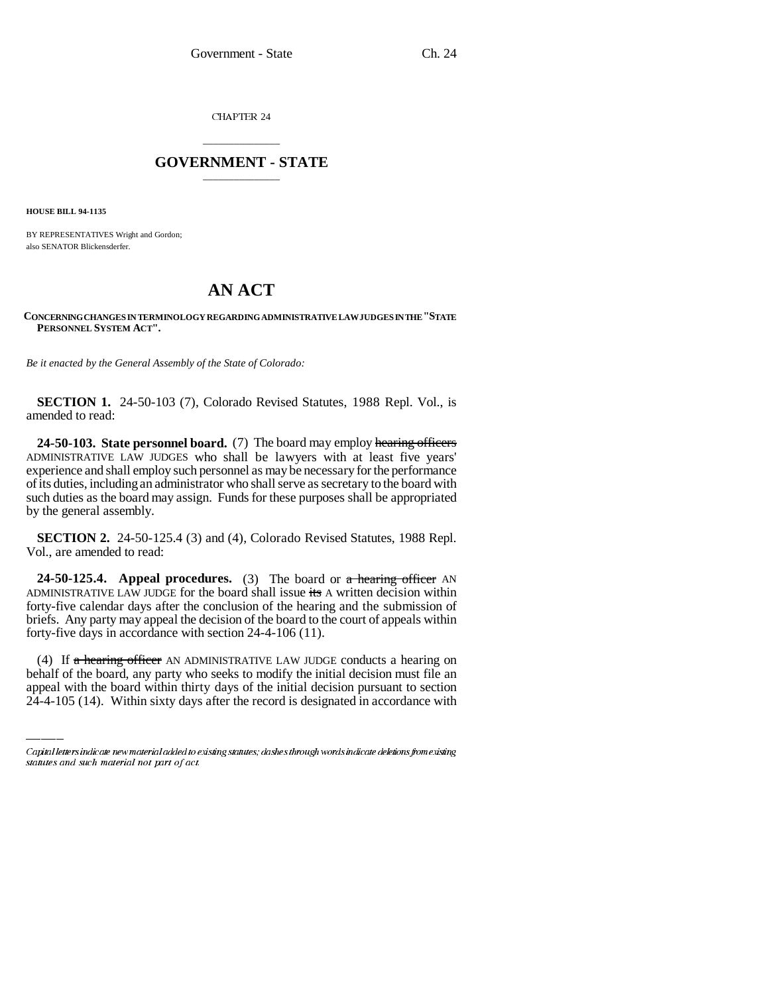CHAPTER 24

## \_\_\_\_\_\_\_\_\_\_\_\_\_\_\_ **GOVERNMENT - STATE** \_\_\_\_\_\_\_\_\_\_\_\_\_\_\_

**HOUSE BILL 94-1135**

BY REPRESENTATIVES Wright and Gordon; also SENATOR Blickensderfer.

## **AN ACT**

## **CONCERNING CHANGES IN TERMINOLOGY REGARDING ADMINISTRATIVE LAW JUDGES IN THE "STATE PERSONNEL SYSTEM ACT".**

*Be it enacted by the General Assembly of the State of Colorado:*

**SECTION 1.** 24-50-103 (7), Colorado Revised Statutes, 1988 Repl. Vol., is amended to read:

**24-50-103. State personnel board.** (7) The board may employ hearing officers ADMINISTRATIVE LAW JUDGES who shall be lawyers with at least five years' experience and shall employ such personnel as may be necessary for the performance of its duties, including an administrator who shall serve as secretary to the board with such duties as the board may assign. Funds for these purposes shall be appropriated by the general assembly.

**SECTION 2.** 24-50-125.4 (3) and (4), Colorado Revised Statutes, 1988 Repl. Vol., are amended to read:

 $\mathcal{L}$ **24-50-125.4.** Appeal procedures. (3) The board or a hearing officer AN ADMINISTRATIVE LAW JUDGE for the board shall issue  $\frac{1}{15}$  A written decision within forty-five calendar days after the conclusion of the hearing and the submission of briefs. Any party may appeal the decision of the board to the court of appeals within forty-five days in accordance with section 24-4-106 (11).

(4) If  $\alpha$  hearing officer AN ADMINISTRATIVE LAW JUDGE conducts a hearing on behalf of the board, any party who seeks to modify the initial decision must file an appeal with the board within thirty days of the initial decision pursuant to section 24-4-105 (14). Within sixty days after the record is designated in accordance with

Capital letters indicate new material added to existing statutes; dashes through words indicate deletions from existing statutes and such material not part of act.